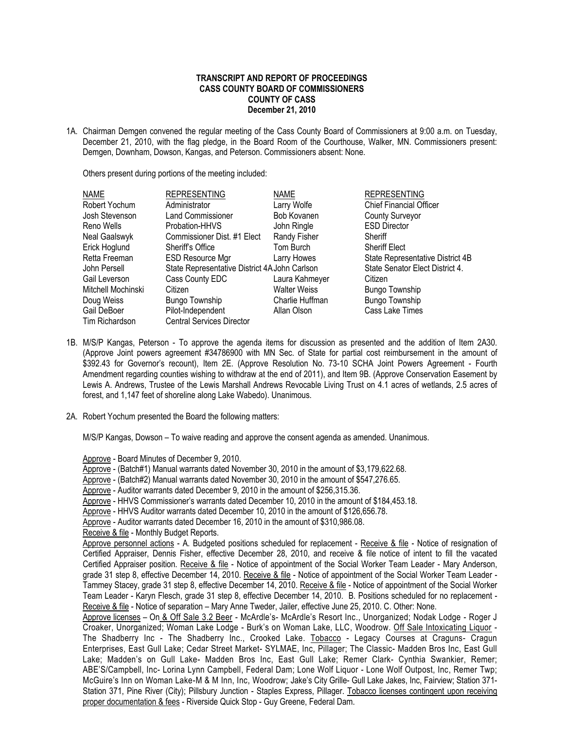## **TRANSCRIPT AND REPORT OF PROCEEDINGS CASS COUNTY BOARD OF COMMISSIONERS COUNTY OF CASS December 21, 2010**

1A. Chairman Demgen convened the regular meeting of the Cass County Board of Commissioners at 9:00 a.m. on Tuesday, December 21, 2010, with the flag pledge, in the Board Room of the Courthouse, Walker, MN. Commissioners present: Demgen, Downham, Dowson, Kangas, and Peterson. Commissioners absent: None.

Others present during portions of the meeting included:

| <b>NAME</b>        | <b>REPRESENTING</b>                           | <b>NAME</b>         | <b>REPRESENTING</b>              |
|--------------------|-----------------------------------------------|---------------------|----------------------------------|
| Robert Yochum      | Administrator                                 | Larry Wolfe         | <b>Chief Financial Officer</b>   |
| Josh Stevenson     | <b>Land Commissioner</b>                      | Bob Kovanen         | <b>County Surveyor</b>           |
| Reno Wells         | Probation-HHVS                                | John Ringle         | <b>ESD Director</b>              |
| Neal Gaalswyk      | Commissioner Dist. #1 Elect                   | Randy Fisher        | Sheriff                          |
| Erick Hoglund      | Sheriff's Office                              | Tom Burch           | <b>Sheriff Elect</b>             |
| Retta Freeman      | <b>ESD Resource Mgr</b>                       | Larry Howes         | State Representative District 4B |
| John Persell       | State Representative District 4A John Carlson |                     | State Senator Elect District 4.  |
| Gail Leverson      | Cass County EDC                               | Laura Kahmeyer      | Citizen                          |
| Mitchell Mochinski | Citizen                                       | <b>Walter Weiss</b> | <b>Bungo Township</b>            |
| Doug Weiss         | Bungo Township                                | Charlie Huffman     | Bungo Township                   |
| Gail DeBoer        | Pilot-Independent                             | Allan Olson         | Cass Lake Times                  |
| Tim Richardson     | <b>Central Services Director</b>              |                     |                                  |

- 1B. M/S/P Kangas, Peterson To approve the agenda items for discussion as presented and the addition of Item 2A30. (Approve Joint powers agreement #34786900 with MN Sec. of State for partial cost reimbursement in the amount of \$392.43 for Governor's recount), Item 2E. (Approve Resolution No. 73-10 SCHA Joint Powers Agreement - Fourth Amendment regarding counties wishing to withdraw at the end of 2011), and Item 9B. (Approve Conservation Easement by Lewis A. Andrews, Trustee of the Lewis Marshall Andrews Revocable Living Trust on 4.1 acres of wetlands, 2.5 acres of forest, and 1,147 feet of shoreline along Lake Wabedo). Unanimous.
- 2A. Robert Yochum presented the Board the following matters:

M/S/P Kangas, Dowson – To waive reading and approve the consent agenda as amended. Unanimous.

Approve - Board Minutes of December 9, 2010.

Approve - (Batch#1) Manual warrants dated November 30, 2010 in the amount of \$3,179,622.68.

Approve - (Batch#2) Manual warrants dated November 30, 2010 in the amount of \$547,276.65.

Approve - Auditor warrants dated December 9, 2010 in the amount of \$256,315.36.

Approve - HHVS Commissioner's warrants dated December 10, 2010 in the amount of \$184,453.18.

Approve - HHVS Auditor warrants dated December 10, 2010 in the amount of \$126,656.78.

Approve - Auditor warrants dated December 16, 2010 in the amount of \$310,986.08.

Receive & file - Monthly Budget Reports.

Approve personnel actions - A. Budgeted positions scheduled for replacement - Receive & file - Notice of resignation of Certified Appraiser, Dennis Fisher, effective December 28, 2010, and receive & file notice of intent to fill the vacated Certified Appraiser position. Receive & file - Notice of appointment of the Social Worker Team Leader - Mary Anderson, grade 31 step 8, effective December 14, 2010. Receive & file - Notice of appointment of the Social Worker Team Leader -Tammey Stacey, grade 31 step 8, effective December 14, 2010. Receive & file - Notice of appointment of the Social Worker Team Leader - Karyn Flesch, grade 31 step 8, effective December 14, 2010. B. Positions scheduled for no replacement - Receive & file - Notice of separation – Mary Anne Tweder, Jailer, effective June 25, 2010. C. Other: None.

 Approve licenses – On & Off Sale 3.2 Beer - McArdle's- McArdle's Resort Inc., Unorganized; Nodak Lodge - Roger J Croaker, Unorganized; Woman Lake Lodge - Burk's on Woman Lake, LLC, Woodrow. Off Sale Intoxicating Liquor - The Shadberry Inc - The Shadberry Inc., Crooked Lake. Tobacco - Legacy Courses at Craguns- Cragun Enterprises, East Gull Lake; Cedar Street Market- SYLMAE, Inc, Pillager; The Classic- Madden Bros Inc, East Gull Lake; Madden's on Gull Lake- Madden Bros Inc, East Gull Lake; Remer Clark- Cynthia Swankier, Remer; ABE'S/Campbell, Inc- Lorina Lynn Campbell, Federal Dam; Lone Wolf Liquor - Lone Wolf Outpost, Inc, Remer Twp; McGuire's Inn on Woman Lake-M & M Inn, Inc, Woodrow; Jake's City Grille- Gull Lake Jakes, Inc, Fairview; Station 371- Station 371, Pine River (City); Pillsbury Junction - Staples Express, Pillager. Tobacco licenses contingent upon receiving proper documentation & fees - Riverside Quick Stop - Guy Greene, Federal Dam.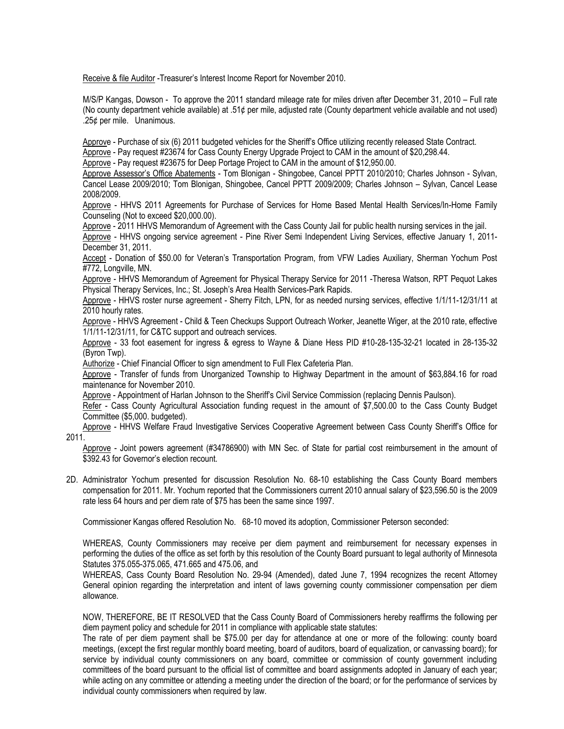Receive & file Auditor -Treasurer's Interest Income Report for November 2010.

M/S/P Kangas, Dowson - To approve the 2011 standard mileage rate for miles driven after December 31, 2010 – Full rate (No county department vehicle available) at .51¢ per mile, adjusted rate (County department vehicle available and not used) .25¢ per mile. Unanimous.

Approve - Purchase of six (6) 2011 budgeted vehicles for the Sheriff's Office utilizing recently released State Contract. Approve - Pay request #23674 for Cass County Energy Upgrade Project to CAM in the amount of \$20,298.44.

Approve - Pay request #23675 for Deep Portage Project to CAM in the amount of \$12,950.00.

Approve Assessor's Office Abatements - Tom Blonigan - Shingobee, Cancel PPTT 2010/2010; Charles Johnson - Sylvan, Cancel Lease 2009/2010; Tom Blonigan, Shingobee, Cancel PPTT 2009/2009; Charles Johnson – Sylvan, Cancel Lease 2008/2009.

Approve - HHVS 2011 Agreements for Purchase of Services for Home Based Mental Health Services/In-Home Family Counseling (Not to exceed \$20,000.00).

Approve - 2011 HHVS Memorandum of Agreement with the Cass County Jail for public health nursing services in the jail.

 Approve - HHVS ongoing service agreement - Pine River Semi Independent Living Services, effective January 1, 2011- December 31, 2011.

Accept - Donation of \$50.00 for Veteran's Transportation Program, from VFW Ladies Auxiliary, Sherman Yochum Post #772, Longville, MN.

Approve - HHVS Memorandum of Agreement for Physical Therapy Service for 2011 -Theresa Watson, RPT Pequot Lakes Physical Therapy Services, Inc.; St. Joseph's Area Health Services-Park Rapids.

Approve - HHVS roster nurse agreement - Sherry Fitch, LPN, for as needed nursing services, effective 1/1/11-12/31/11 at 2010 hourly rates.

Approve - HHVS Agreement - Child & Teen Checkups Support Outreach Worker, Jeanette Wiger, at the 2010 rate, effective 1/1/11-12/31/11, for C&TC support and outreach services.

Approve - 33 foot easement for ingress & egress to Wayne & Diane Hess PID #10-28-135-32-21 located in 28-135-32 (Byron Twp).

Authorize - Chief Financial Officer to sign amendment to Full Flex Cafeteria Plan.

Approve - Transfer of funds from Unorganized Township to Highway Department in the amount of \$63,884.16 for road maintenance for November 2010.

Approve - Appointment of Harlan Johnson to the Sheriff's Civil Service Commission (replacing Dennis Paulson).

Refer - Cass County Agricultural Association funding request in the amount of \$7,500.00 to the Cass County Budget Committee (\$5,000. budgeted).

Approve - HHVS Welfare Fraud Investigative Services Cooperative Agreement between Cass County Sheriff's Office for 2011.

Approve - Joint powers agreement (#34786900) with MN Sec. of State for partial cost reimbursement in the amount of \$392.43 for Governor's election recount.

2D. Administrator Yochum presented for discussion Resolution No. 68-10 establishing the Cass County Board members compensation for 2011. Mr. Yochum reported that the Commissioners current 2010 annual salary of \$23,596.50 is the 2009 rate less 64 hours and per diem rate of \$75 has been the same since 1997.

Commissioner Kangas offered Resolution No. 68-10 moved its adoption, Commissioner Peterson seconded:

WHEREAS, County Commissioners may receive per diem payment and reimbursement for necessary expenses in performing the duties of the office as set forth by this resolution of the County Board pursuant to legal authority of Minnesota Statutes 375.055-375.065, 471.665 and 475.06, and

WHEREAS, Cass County Board Resolution No. 29-94 (Amended), dated June 7, 1994 recognizes the recent Attorney General opinion regarding the interpretation and intent of laws governing county commissioner compensation per diem allowance.

NOW, THEREFORE, BE IT RESOLVED that the Cass County Board of Commissioners hereby reaffirms the following per diem payment policy and schedule for 2011 in compliance with applicable state statutes:

The rate of per diem payment shall be \$75.00 per day for attendance at one or more of the following: county board meetings, (except the first regular monthly board meeting, board of auditors, board of equalization, or canvassing board); for service by individual county commissioners on any board, committee or commission of county government including committees of the board pursuant to the official list of committee and board assignments adopted in January of each year; while acting on any committee or attending a meeting under the direction of the board; or for the performance of services by individual county commissioners when required by law.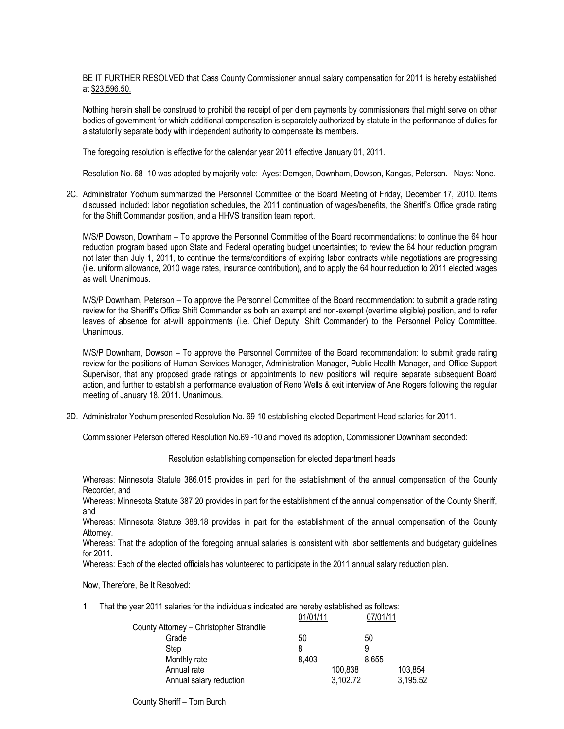BE IT FURTHER RESOLVED that Cass County Commissioner annual salary compensation for 2011 is hereby established at \$23,596.50.

Nothing herein shall be construed to prohibit the receipt of per diem payments by commissioners that might serve on other bodies of government for which additional compensation is separately authorized by statute in the performance of duties for a statutorily separate body with independent authority to compensate its members.

The foregoing resolution is effective for the calendar year 2011 effective January 01, 2011.

Resolution No. 68 -10 was adopted by majority vote: Ayes: Demgen, Downham, Dowson, Kangas, Peterson. Nays: None.

2C. Administrator Yochum summarized the Personnel Committee of the Board Meeting of Friday, December 17, 2010. Items discussed included: labor negotiation schedules, the 2011 continuation of wages/benefits, the Sheriff's Office grade rating for the Shift Commander position, and a HHVS transition team report.

M/S/P Dowson, Downham – To approve the Personnel Committee of the Board recommendations: to continue the 64 hour reduction program based upon State and Federal operating budget uncertainties; to review the 64 hour reduction program not later than July 1, 2011, to continue the terms/conditions of expiring labor contracts while negotiations are progressing (i.e. uniform allowance, 2010 wage rates, insurance contribution), and to apply the 64 hour reduction to 2011 elected wages as well. Unanimous.

M/S/P Downham, Peterson – To approve the Personnel Committee of the Board recommendation: to submit a grade rating review for the Sheriff's Office Shift Commander as both an exempt and non-exempt (overtime eligible) position, and to refer leaves of absence for at-will appointments (i.e. Chief Deputy, Shift Commander) to the Personnel Policy Committee. Unanimous.

M/S/P Downham, Dowson – To approve the Personnel Committee of the Board recommendation: to submit grade rating review for the positions of Human Services Manager, Administration Manager, Public Health Manager, and Office Support Supervisor, that any proposed grade ratings or appointments to new positions will require separate subsequent Board action, and further to establish a performance evaluation of Reno Wells & exit interview of Ane Rogers following the regular meeting of January 18, 2011. Unanimous.

2D. Administrator Yochum presented Resolution No. 69-10 establishing elected Department Head salaries for 2011.

Commissioner Peterson offered Resolution No.69 -10 and moved its adoption, Commissioner Downham seconded:

## Resolution establishing compensation for elected department heads

Whereas: Minnesota Statute 386.015 provides in part for the establishment of the annual compensation of the County Recorder, and

Whereas: Minnesota Statute 387.20 provides in part for the establishment of the annual compensation of the County Sheriff, and

Whereas: Minnesota Statute 388.18 provides in part for the establishment of the annual compensation of the County Attorney.

Whereas: That the adoption of the foregoing annual salaries is consistent with labor settlements and budgetary guidelines for 2011.

Whereas: Each of the elected officials has volunteered to participate in the 2011 annual salary reduction plan.

Now, Therefore, Be It Resolved:

1. That the year 2011 salaries for the individuals indicated are hereby established as follows:<br>01/01/11 07/01/11  $01/01/11$ 

|                                         | <u>UI/UI/II</u> | 0110111  |          |
|-----------------------------------------|-----------------|----------|----------|
| County Attorney - Christopher Strandlie |                 |          |          |
| Grade                                   | 50              | 50       |          |
| Step                                    | 8               |          |          |
| Monthly rate                            | 8,403           | 8.655    |          |
| Annual rate                             |                 | 100,838  | 103,854  |
| Annual salary reduction                 |                 | 3,102.72 | 3,195.52 |

County Sheriff – Tom Burch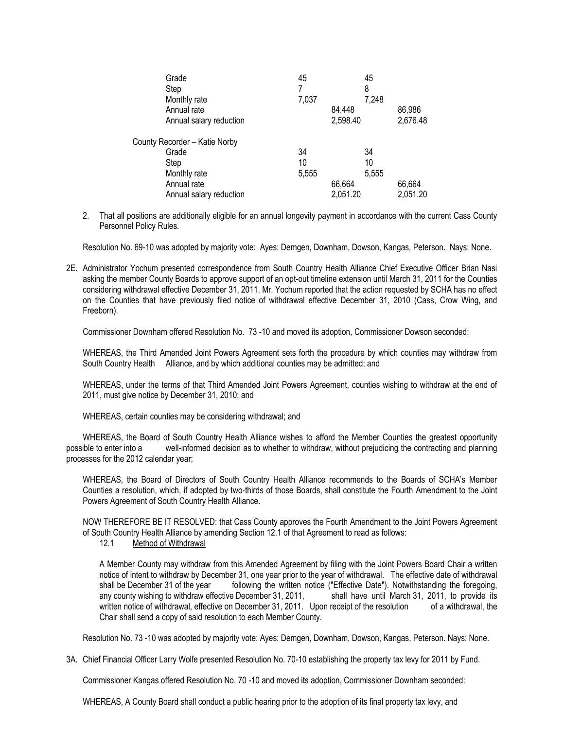| Grade                         | 45    | 45       |          |
|-------------------------------|-------|----------|----------|
| Step                          |       | 8        |          |
| Monthly rate                  | 7,037 | 7,248    |          |
| Annual rate                   |       | 84,448   | 86,986   |
| Annual salary reduction       |       | 2,598.40 | 2,676.48 |
| County Recorder - Katie Norby |       |          |          |
| Grade                         | 34    | 34       |          |
| Step                          | 10    | 10       |          |
| Monthly rate                  | 5,555 | 5,555    |          |
| Annual rate                   |       | 66,664   | 66,664   |
| Annual salary reduction       |       | 2,051.20 | 2,051.20 |

2. That all positions are additionally eligible for an annual longevity payment in accordance with the current Cass County Personnel Policy Rules.

Resolution No. 69-10 was adopted by majority vote: Ayes: Demgen, Downham, Dowson, Kangas, Peterson. Nays: None.

2E. Administrator Yochum presented correspondence from South Country Health Alliance Chief Executive Officer Brian Nasi asking the member County Boards to approve support of an opt-out timeline extension until March 31, 2011 for the Counties considering withdrawal effective December 31, 2011. Mr. Yochum reported that the action requested by SCHA has no effect on the Counties that have previously filed notice of withdrawal effective December 31, 2010 (Cass, Crow Wing, and Freeborn).

Commissioner Downham offered Resolution No. 73 -10 and moved its adoption, Commissioner Dowson seconded:

WHEREAS, the Third Amended Joint Powers Agreement sets forth the procedure by which counties may withdraw from South Country Health Alliance, and by which additional counties may be admitted; and

WHEREAS, under the terms of that Third Amended Joint Powers Agreement, counties wishing to withdraw at the end of 2011, must give notice by December 31, 2010; and

WHEREAS, certain counties may be considering withdrawal; and

WHEREAS, the Board of South Country Health Alliance wishes to afford the Member Counties the greatest opportunity possible to enter into a well-informed decision as to whether to withdraw, without prejudicing the contracting and planning processes for the 2012 calendar year;

WHEREAS, the Board of Directors of South Country Health Alliance recommends to the Boards of SCHA's Member Counties a resolution, which, if adopted by two-thirds of those Boards, shall constitute the Fourth Amendment to the Joint Powers Agreement of South Country Health Alliance.

NOW THEREFORE BE IT RESOLVED: that Cass County approves the Fourth Amendment to the Joint Powers Agreement of South Country Health Alliance by amending Section 12.1 of that Agreement to read as follows:

12.1 Method of Withdrawal

A Member County may withdraw from this Amended Agreement by filing with the Joint Powers Board Chair a written notice of intent to withdraw by December 31, one year prior to the year of withdrawal. The effective date of withdrawal shall be December 31 of the year following the written notice ("Effective Date"). Notwithstanding the foregoing, any county wishing to withdraw effective December 31, 2011, shall have until March 31, 2011, to provide its written notice of withdrawal, effective on December 31, 2011. Upon receipt of the resolution of a withdrawal, the Chair shall send a copy of said resolution to each Member County.

Resolution No. 73 -10 was adopted by majority vote: Ayes: Demgen, Downham, Dowson, Kangas, Peterson. Nays: None.

3A. Chief Financial Officer Larry Wolfe presented Resolution No. 70-10 establishing the property tax levy for 2011 by Fund.

Commissioner Kangas offered Resolution No. 70 -10 and moved its adoption, Commissioner Downham seconded:

WHEREAS, A County Board shall conduct a public hearing prior to the adoption of its final property tax levy, and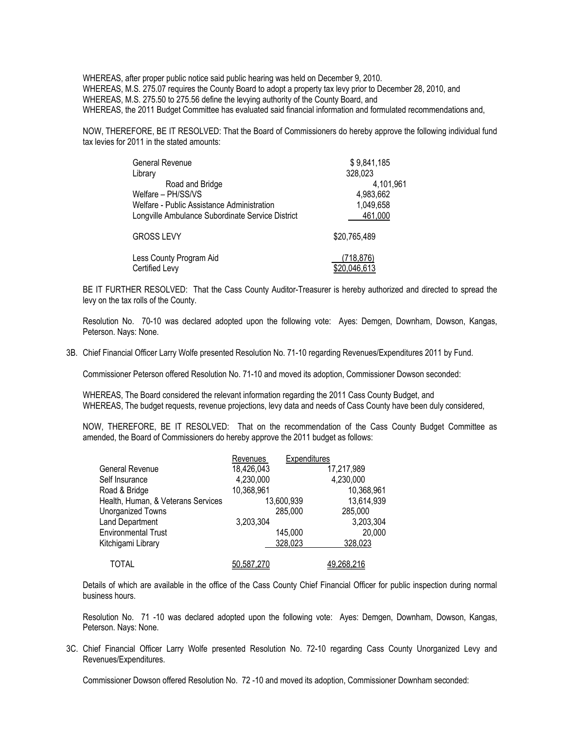WHEREAS, after proper public notice said public hearing was held on December 9, 2010. WHEREAS, M.S. 275.07 requires the County Board to adopt a property tax levy prior to December 28, 2010, and WHEREAS, M.S. 275.50 to 275.56 define the levying authority of the County Board, and WHEREAS, the 2011 Budget Committee has evaluated said financial information and formulated recommendations and,

NOW, THEREFORE, BE IT RESOLVED: That the Board of Commissioners do hereby approve the following individual fund tax levies for 2011 in the stated amounts:

| General Revenue                                  | \$9,841,185       |
|--------------------------------------------------|-------------------|
| Library                                          | 328,023           |
| Road and Bridge                                  | 4,101,961         |
| Welfare - PH/SS/VS                               | 4,983,662         |
| Welfare - Public Assistance Administration       | 1,049,658         |
| Longville Ambulance Subordinate Service District | 461,000           |
| <b>GROSS LEVY</b>                                | \$20,765,489      |
| Less County Program Aid                          | (718,876)         |
| Certified Levy                                   | <u>20,046,613</u> |

BE IT FURTHER RESOLVED: That the Cass County Auditor-Treasurer is hereby authorized and directed to spread the levy on the tax rolls of the County.

Resolution No. 70-10 was declared adopted upon the following vote: Ayes: Demgen, Downham, Dowson, Kangas, Peterson. Nays: None.

3B. Chief Financial Officer Larry Wolfe presented Resolution No. 71-10 regarding Revenues/Expenditures 2011 by Fund.

Commissioner Peterson offered Resolution No. 71-10 and moved its adoption, Commissioner Dowson seconded:

WHEREAS, The Board considered the relevant information regarding the 2011 Cass County Budget, and WHEREAS, The budget requests, revenue projections, levy data and needs of Cass County have been duly considered,

NOW, THEREFORE, BE IT RESOLVED: That on the recommendation of the Cass County Budget Committee as amended, the Board of Commissioners do hereby approve the 2011 budget as follows:

|                                    | Revenues   | Expenditures |                   |
|------------------------------------|------------|--------------|-------------------|
| General Revenue                    | 18,426,043 |              | 17,217,989        |
| Self Insurance                     | 4,230,000  |              | 4,230,000         |
| Road & Bridge                      | 10,368,961 |              | 10,368,961        |
| Health, Human, & Veterans Services |            | 13,600,939   | 13,614,939        |
| Unorganized Towns                  |            | 285,000      | 285,000           |
| Land Department                    | 3,203,304  |              | 3,203,304         |
| <b>Environmental Trust</b>         |            | 145,000      | 20,000            |
| Kitchigami Library                 |            | 328,023      | 328,023           |
| TOTAL                              | 50,587,270 |              | <u>49,268,216</u> |

Details of which are available in the office of the Cass County Chief Financial Officer for public inspection during normal business hours.

Resolution No. 71 -10 was declared adopted upon the following vote: Ayes: Demgen, Downham, Dowson, Kangas, Peterson. Nays: None.

3C. Chief Financial Officer Larry Wolfe presented Resolution No. 72-10 regarding Cass County Unorganized Levy and Revenues/Expenditures.

Commissioner Dowson offered Resolution No. 72 -10 and moved its adoption, Commissioner Downham seconded: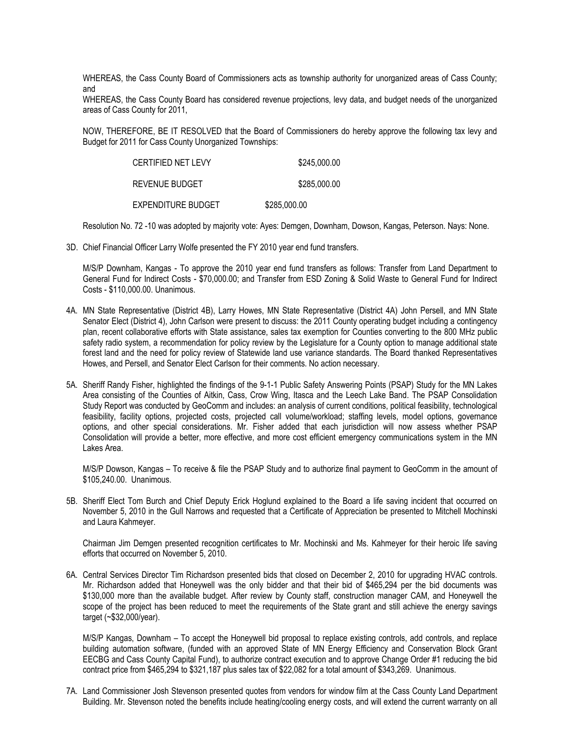WHEREAS, the Cass County Board of Commissioners acts as township authority for unorganized areas of Cass County; and

WHEREAS, the Cass County Board has considered revenue projections, levy data, and budget needs of the unorganized areas of Cass County for 2011,

NOW, THEREFORE, BE IT RESOLVED that the Board of Commissioners do hereby approve the following tax levy and Budget for 2011 for Cass County Unorganized Townships:

| CERTIFIED NET LEVY | \$245,000.00 |
|--------------------|--------------|
| REVENUE BUDGET     | \$285,000.00 |
| EXPENDITURE BUDGET | \$285,000.00 |

Resolution No. 72 -10 was adopted by majority vote: Ayes: Demgen, Downham, Dowson, Kangas, Peterson. Nays: None.

3D. Chief Financial Officer Larry Wolfe presented the FY 2010 year end fund transfers.

M/S/P Downham, Kangas - To approve the 2010 year end fund transfers as follows: Transfer from Land Department to General Fund for Indirect Costs - \$70,000.00; and Transfer from ESD Zoning & Solid Waste to General Fund for Indirect Costs - \$110,000.00. Unanimous.

- 4A. MN State Representative (District 4B), Larry Howes, MN State Representative (District 4A) John Persell, and MN State Senator Elect (District 4), John Carlson were present to discuss: the 2011 County operating budget including a contingency plan, recent collaborative efforts with State assistance, sales tax exemption for Counties converting to the 800 MHz public safety radio system, a recommendation for policy review by the Legislature for a County option to manage additional state forest land and the need for policy review of Statewide land use variance standards. The Board thanked Representatives Howes, and Persell, and Senator Elect Carlson for their comments. No action necessary.
- 5A. Sheriff Randy Fisher, highlighted the findings of the 9-1-1 Public Safety Answering Points (PSAP) Study for the MN Lakes Area consisting of the Counties of Aitkin, Cass, Crow Wing, Itasca and the Leech Lake Band. The PSAP Consolidation Study Report was conducted by GeoComm and includes: an analysis of current conditions, political feasibility, technological feasibility, facility options, projected costs, projected call volume/workload; staffing levels, model options, governance options, and other special considerations. Mr. Fisher added that each jurisdiction will now assess whether PSAP Consolidation will provide a better, more effective, and more cost efficient emergency communications system in the MN Lakes Area.

M/S/P Dowson, Kangas – To receive & file the PSAP Study and to authorize final payment to GeoComm in the amount of \$105,240.00. Unanimous.

5B. Sheriff Elect Tom Burch and Chief Deputy Erick Hoglund explained to the Board a life saving incident that occurred on November 5, 2010 in the Gull Narrows and requested that a Certificate of Appreciation be presented to Mitchell Mochinski and Laura Kahmeyer.

Chairman Jim Demgen presented recognition certificates to Mr. Mochinski and Ms. Kahmeyer for their heroic life saving efforts that occurred on November 5, 2010.

6A. Central Services Director Tim Richardson presented bids that closed on December 2, 2010 for upgrading HVAC controls. Mr. Richardson added that Honeywell was the only bidder and that their bid of \$465,294 per the bid documents was \$130,000 more than the available budget. After review by County staff, construction manager CAM, and Honeywell the scope of the project has been reduced to meet the requirements of the State grant and still achieve the energy savings target (~\$32,000/year).

M/S/P Kangas, Downham – To accept the Honeywell bid proposal to replace existing controls, add controls, and replace building automation software, (funded with an approved State of MN Energy Efficiency and Conservation Block Grant EECBG and Cass County Capital Fund), to authorize contract execution and to approve Change Order #1 reducing the bid contract price from \$465,294 to \$321,187 plus sales tax of \$22,082 for a total amount of \$343,269. Unanimous.

7A. Land Commissioner Josh Stevenson presented quotes from vendors for window film at the Cass County Land Department Building. Mr. Stevenson noted the benefits include heating/cooling energy costs, and will extend the current warranty on all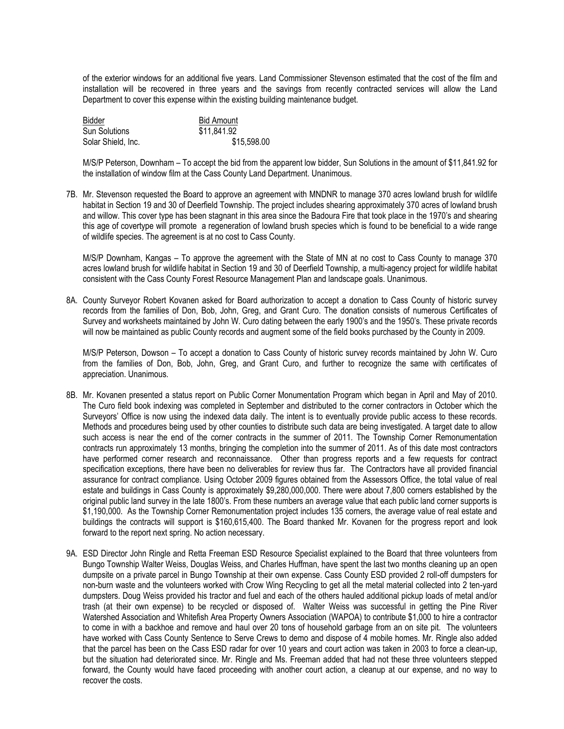of the exterior windows for an additional five years. Land Commissioner Stevenson estimated that the cost of the film and installation will be recovered in three years and the savings from recently contracted services will allow the Land Department to cover this expense within the existing building maintenance budget.

| Bidder               | <b>Bid Amount</b> |
|----------------------|-------------------|
| <b>Sun Solutions</b> | \$11,841.92       |
| Solar Shield, Inc.   | \$15,598.00       |

M/S/P Peterson, Downham – To accept the bid from the apparent low bidder, Sun Solutions in the amount of \$11,841.92 for the installation of window film at the Cass County Land Department. Unanimous.

7B. Mr. Stevenson requested the Board to approve an agreement with MNDNR to manage 370 acres lowland brush for wildlife habitat in Section 19 and 30 of Deerfield Township. The project includes shearing approximately 370 acres of lowland brush and willow. This cover type has been stagnant in this area since the Badoura Fire that took place in the 1970's and shearing this age of covertype will promote a regeneration of lowland brush species which is found to be beneficial to a wide range of wildlife species. The agreement is at no cost to Cass County.

M/S/P Downham, Kangas – To approve the agreement with the State of MN at no cost to Cass County to manage 370 acres lowland brush for wildlife habitat in Section 19 and 30 of Deerfield Township, a multi-agency project for wildlife habitat consistent with the Cass County Forest Resource Management Plan and landscape goals. Unanimous.

8A. County Surveyor Robert Kovanen asked for Board authorization to accept a donation to Cass County of historic survey records from the families of Don, Bob, John, Greg, and Grant Curo. The donation consists of numerous Certificates of Survey and worksheets maintained by John W. Curo dating between the early 1900's and the 1950's. These private records will now be maintained as public County records and augment some of the field books purchased by the County in 2009.

M/S/P Peterson, Dowson – To accept a donation to Cass County of historic survey records maintained by John W. Curo from the families of Don, Bob, John, Greg, and Grant Curo, and further to recognize the same with certificates of appreciation. Unanimous.

- 8B. Mr. Kovanen presented a status report on Public Corner Monumentation Program which began in April and May of 2010. The Curo field book indexing was completed in September and distributed to the corner contractors in October which the Surveyors' Office is now using the indexed data daily. The intent is to eventually provide public access to these records. Methods and procedures being used by other counties to distribute such data are being investigated. A target date to allow such access is near the end of the corner contracts in the summer of 2011. The Township Corner Remonumentation contracts run approximately 13 months, bringing the completion into the summer of 2011. As of this date most contractors have performed corner research and reconnaissance. Other than progress reports and a few requests for contract specification exceptions, there have been no deliverables for review thus far. The Contractors have all provided financial assurance for contract compliance. Using October 2009 figures obtained from the Assessors Office, the total value of real estate and buildings in Cass County is approximately \$9,280,000,000. There were about 7,800 corners established by the original public land survey in the late 1800's. From these numbers an average value that each public land corner supports is \$1,190,000. As the Township Corner Remonumentation project includes 135 corners, the average value of real estate and buildings the contracts will support is \$160,615,400. The Board thanked Mr. Kovanen for the progress report and look forward to the report next spring. No action necessary.
- 9A. ESD Director John Ringle and Retta Freeman ESD Resource Specialist explained to the Board that three volunteers from Bungo Township Walter Weiss, Douglas Weiss, and Charles Huffman, have spent the last two months cleaning up an open dumpsite on a private parcel in Bungo Township at their own expense. Cass County ESD provided 2 roll-off dumpsters for non-burn waste and the volunteers worked with Crow Wing Recycling to get all the metal material collected into 2 ten-yard dumpsters. Doug Weiss provided his tractor and fuel and each of the others hauled additional pickup loads of metal and/or trash (at their own expense) to be recycled or disposed of. Walter Weiss was successful in getting the Pine River Watershed Association and Whitefish Area Property Owners Association (WAPOA) to contribute \$1,000 to hire a contractor to come in with a backhoe and remove and haul over 20 tons of household garbage from an on site pit. The volunteers have worked with Cass County Sentence to Serve Crews to demo and dispose of 4 mobile homes. Mr. Ringle also added that the parcel has been on the Cass ESD radar for over 10 years and court action was taken in 2003 to force a clean-up, but the situation had deteriorated since. Mr. Ringle and Ms. Freeman added that had not these three volunteers stepped forward, the County would have faced proceeding with another court action, a cleanup at our expense, and no way to recover the costs.